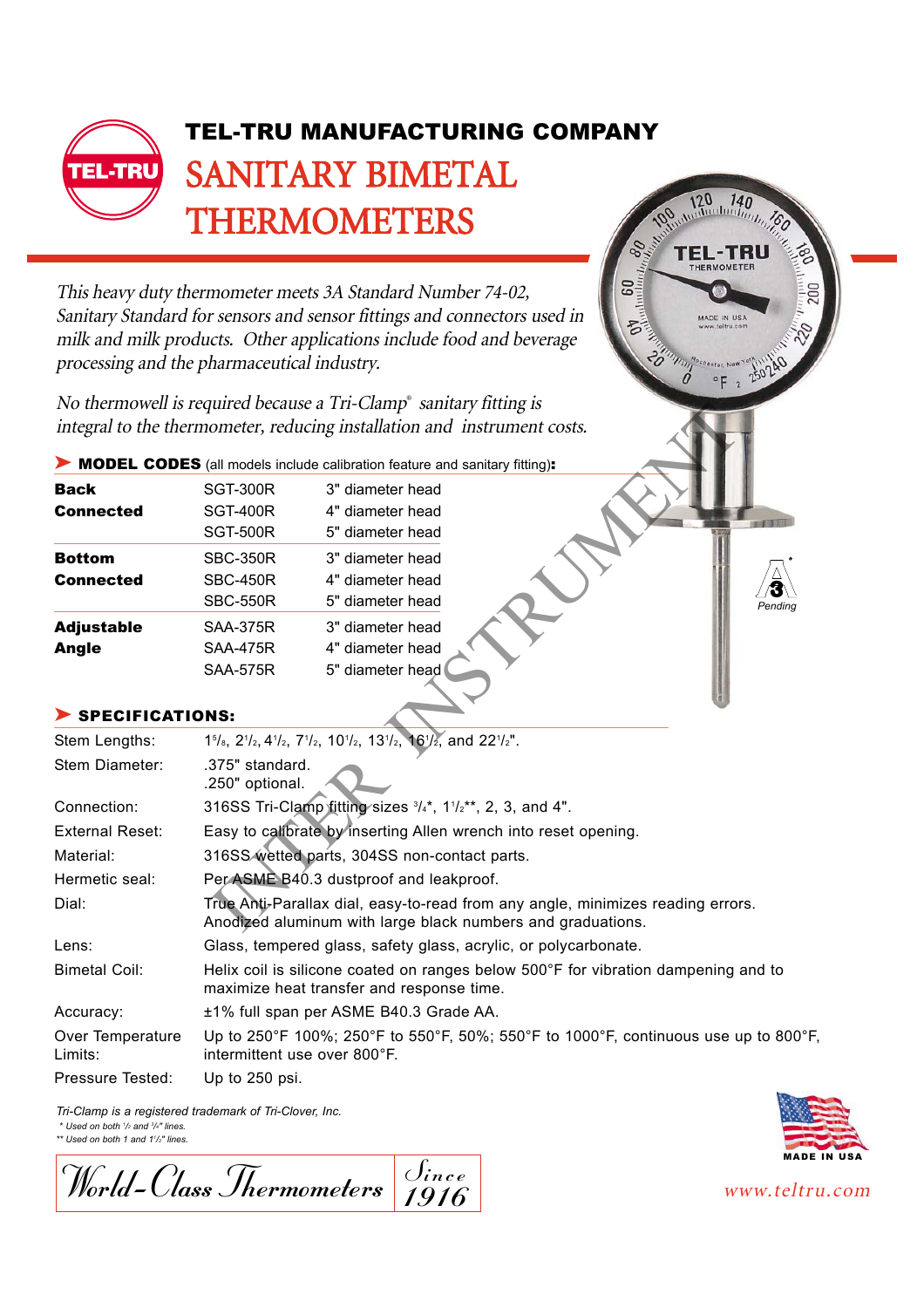

This heavy duty thermometer meets 3A Standard Number 74-02, Sanitary Standard for sensors and sensor fittings and connectors used in milk and milk products. Other applications include food and beverage processing and the pharmaceutical industry.

No thermowell is required because a Tri-Clamp® sanitary fitting is integral to the thermometer, reducing installation and instrument costs.

| Back              | SGT-300R        | 3" diameter head |
|-------------------|-----------------|------------------|
| <b>Connected</b>  | SGT-400R        | 4" diameter head |
|                   | <b>SGT-500R</b> | 5" diameter head |
| <b>Bottom</b>     | <b>SBC-350R</b> | 3" diameter head |
| <b>Connected</b>  | <b>SBC-450R</b> | 4" diameter head |
|                   | <b>SBC-550R</b> | 5" diameter head |
| <b>Adjustable</b> | <b>SAA-375R</b> | 3" diameter head |
| Angle             | <b>SAA-475R</b> | 4" diameter head |
|                   | <b>SAA-575R</b> | 5" diameter head |

## SPECIFICATIONS:

|                                   | No thermowell is required because a Tri-Clamp Samiary numg is<br>integral to the thermometer, reducing installation and instrument costs.      |  |
|-----------------------------------|------------------------------------------------------------------------------------------------------------------------------------------------|--|
|                                   | MODEL CODES (all models include calibration feature and sanitary fitting):                                                                     |  |
| Back<br><b>Connected</b>          | 3" diameter head<br><b>SGT-300R</b><br><b>SGT-400R</b><br>4" diameter head<br><b>11111</b><br><b>SGT-500R</b><br>5" diameter head              |  |
| <b>Bottom</b><br><b>Connected</b> | 3" diameter head<br><b>SBC-350R</b><br><b>SBC-450R</b><br>4" diameter head<br><b>SBC-550R</b><br>5" diameter head<br>Pending                   |  |
| <b>Adjustable</b><br><b>Angle</b> | <b>SAA-375R</b><br>3" diameter head<br><b>SAA-475R</b><br>4" diameter head<br><b>SAA-575R</b><br>5" diameter head                              |  |
| SPECIFICATIONS:                   |                                                                                                                                                |  |
| Stem Lengths:                     | 15/8, 21/2, 41/2, 71/2, 101/2, 131/2, 161/2, and 221/2".                                                                                       |  |
| Stem Diameter:                    | .375" standard.<br>.250" optional.                                                                                                             |  |
| Connection:                       | 316SS Tri-Clamp fitting sizes 3/4*, 11/2**, 2, 3, and 4".                                                                                      |  |
| <b>External Reset:</b>            | Easy to calibrate by inserting Allen wrench into reset opening.                                                                                |  |
| Material:                         | 316SS wetted parts, 304SS non-contact parts.                                                                                                   |  |
| Hermetic seal:                    | Per ASME B40.3 dustproof and leakproof.                                                                                                        |  |
| Dial:                             | True Anti-Parallax dial, easy-to-read from any angle, minimizes reading errors.<br>Anodized aluminum with large black numbers and graduations. |  |
| Lens:                             | Glass, tempered glass, safety glass, acrylic, or polycarbonate.                                                                                |  |
| <b>Bimetal Coil:</b>              | Helix coil is silicone coated on ranges below 500°F for vibration dampening and to<br>maximize heat transfer and response time.                |  |
| Accuracy:                         | ±1% full span per ASME B40.3 Grade AA.                                                                                                         |  |
| Over Temperature<br>Limits:       | Up to 250°F 100%; 250°F to 550°F, 50%; 550°F to 1000°F, continuous use up to 800°F,<br>intermittent use over 800°F.                            |  |
| Pressure Tested:                  | Up to 250 psi.                                                                                                                                 |  |

*Tri-Clamp is a registered trademark of Tri-Clover, Inc.*

*\* Used on both 1 /2 and <sup>3</sup> /4" lines. \*\* Used on both 1 and 11 /2" lines.*

 $W_{\text{ord}}$ -Class Thermometers  $\frac{\text{Since}}{\text{10.16}}$  www.teltru.com  $\overline{\int_{ince}}$ Oince<br><u>1916</u>



ADE IN USA